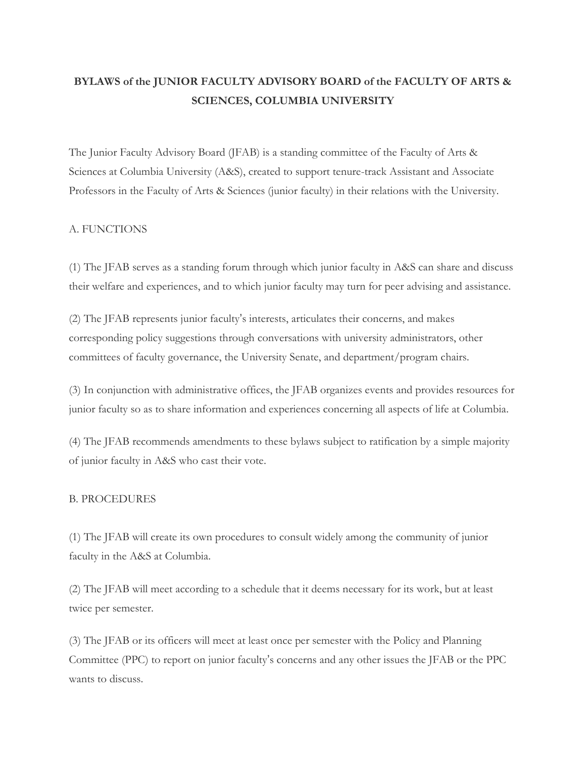# **BYLAWS of the JUNIOR FACULTY ADVISORY BOARD of the FACULTY OF ARTS & SCIENCES, COLUMBIA UNIVERSITY**

The Junior Faculty Advisory Board (JFAB) is a standing committee of the Faculty of Arts & Sciences at Columbia University (A&S), created to support tenure-track Assistant and Associate Professors in the Faculty of Arts & Sciences (junior faculty) in their relations with the University.

## A. FUNCTIONS

(1) The JFAB serves as a standing forum through which junior faculty in A&S can share and discuss their welfare and experiences, and to which junior faculty may turn for peer advising and assistance.

(2) The JFAB represents junior faculty's interests, articulates their concerns, and makes corresponding policy suggestions through conversations with university administrators, other committees of faculty governance, the University Senate, and department/program chairs.

(3) In conjunction with administrative offices, the JFAB organizes events and provides resources for junior faculty so as to share information and experiences concerning all aspects of life at Columbia.

(4) The JFAB recommends amendments to these bylaws subject to ratification by a simple majority of junior faculty in A&S who cast their vote.

#### B. PROCEDURES

(1) The JFAB will create its own procedures to consult widely among the community of junior faculty in the A&S at Columbia.

(2) The JFAB will meet according to a schedule that it deems necessary for its work, but at least twice per semester.

(3) The JFAB or its officers will meet at least once per semester with the Policy and Planning Committee (PPC) to report on junior faculty's concerns and any other issues the JFAB or the PPC wants to discuss.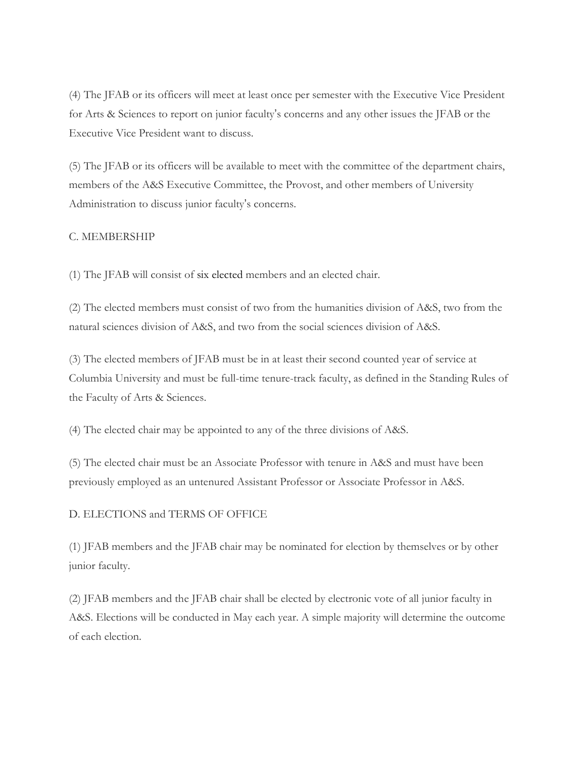(4) The JFAB or its officers will meet at least once per semester with the Executive Vice President for Arts & Sciences to report on junior faculty's concerns and any other issues the JFAB or the Executive Vice President want to discuss.

(5) The JFAB or its officers will be available to meet with the committee of the department chairs, members of the A&S Executive Committee, the Provost, and other members of University Administration to discuss junior faculty's concerns.

## C. MEMBERSHIP

(1) The JFAB will consist of six elected members and an elected chair.

(2) The elected members must consist of two from the humanities division of A&S, two from the natural sciences division of A&S, and two from the social sciences division of A&S.

(3) The elected members of JFAB must be in at least their second counted year of service at Columbia University and must be full-time tenure-track faculty, as defined in the Standing Rules of the Faculty of Arts & Sciences.

(4) The elected chair may be appointed to any of the three divisions of A&S.

(5) The elected chair must be an Associate Professor with tenure in A&S and must have been previously employed as an untenured Assistant Professor or Associate Professor in A&S.

#### D. ELECTIONS and TERMS OF OFFICE

(1) JFAB members and the JFAB chair may be nominated for election by themselves or by other junior faculty.

(2) JFAB members and the JFAB chair shall be elected by electronic vote of all junior faculty in A&S. Elections will be conducted in May each year. A simple majority will determine the outcome of each election.